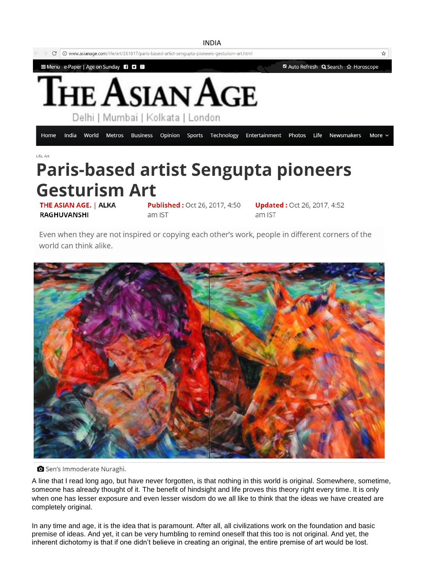

## THE ASIAN AGE. | ALKA

**RAGHUVANSHI** 

am IST

**Published: Oct 26, 2017, 4:50** 

**Updated: Oct 26, 2017, 4:52** am IST

Even when they are not inspired or copying each other's work, people in different corners of the world can think alike.



Sen's Immoderate Nuraghi.

A line that I read long ago, but have never forgotten, is that nothing in this world is original. Somewhere, sometime, someone has already thought of it. The benefit of hindsight and life proves this theory right every time. It is only when one has lesser exposure and even lesser wisdom do we all like to think that the ideas we have created are completely original.

In any time and age, it is the idea that is paramount. After all, all civilizations work on the foundation and basic premise of ideas. And yet, it can be very humbling to remind oneself that this too is not original. And yet, the inherent dichotomy is that if one didn't believe in creating an original, the entire premise of art would be lost.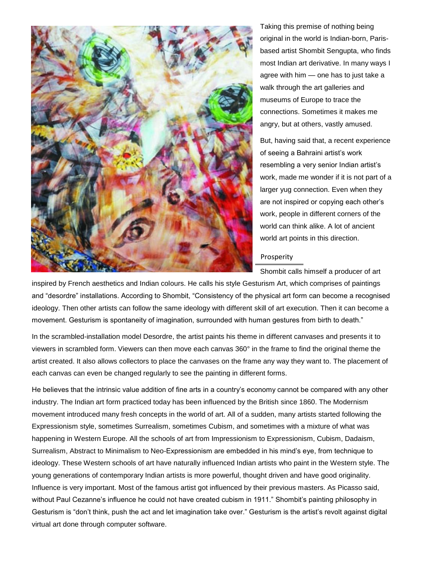

Taking this premise of nothing being original in the world is Indian-born, Parisbased artist Shombit Sengupta, who finds most Indian art derivative. In many ways I agree with him — one has to just take a walk through the art galleries and museums of Europe to trace the connections. Sometimes it makes me angry, but at others, vastly amused.

But, having said that, a recent experience of seeing a Bahraini artist's work resembling a very senior Indian artist's work, made me wonder if it is not part of a larger yug connection. Even when they are not inspired or copying each other's work, people in different corners of the world can think alike. A lot of ancient world art points in this direction.

## Prosperity

Shombit calls himself a producer of art

inspired by French aesthetics and Indian colours. He calls his style Gesturism Art, which comprises of paintings and "desordre" installations. According to Shombit, "Consistency of the physical art form can become a recognised ideology. Then other artists can follow the same ideology with different skill of art execution. Then it can become a movement. Gesturism is spontaneity of imagination, surrounded with human gestures from birth to death."

In the scrambled-installation model Desordre, the artist paints his theme in different canvases and presents it to viewers in scrambled form. Viewers can then move each canvas 360° in the frame to find the original theme the artist created. It also allows collectors to place the canvases on the frame any way they want to. The placement of each canvas can even be changed regularly to see the painting in different forms.

He believes that the intrinsic value addition of fine arts in a country's economy cannot be compared with any other industry. The Indian art form practiced today has been influenced by the British since 1860. The Modernism movement introduced many fresh concepts in the world of art. All of a sudden, many artists started following the Expressionism style, sometimes Surrealism, sometimes Cubism, and sometimes with a mixture of what was happening in Western Europe. All the schools of art from Impressionism to Expressionism, Cubism, Dadaism, Surrealism, Abstract to Minimalism to Neo-Expressionism are embedded in his mind's eye, from technique to ideology. These Western schools of art have naturally influenced Indian artists who paint in the Western style. The young generations of contemporary Indian artists is more powerful, thought driven and have good originality. Influence is very important. Most of the famous artist got influenced by their previous masters. As Picasso said, without Paul Cezanne's influence he could not have created cubism in 1911." Shombit's painting philosophy in Gesturism is "don't think, push the act and let imagination take over." Gesturism is the artist's revolt against digital virtual art done through computer software.